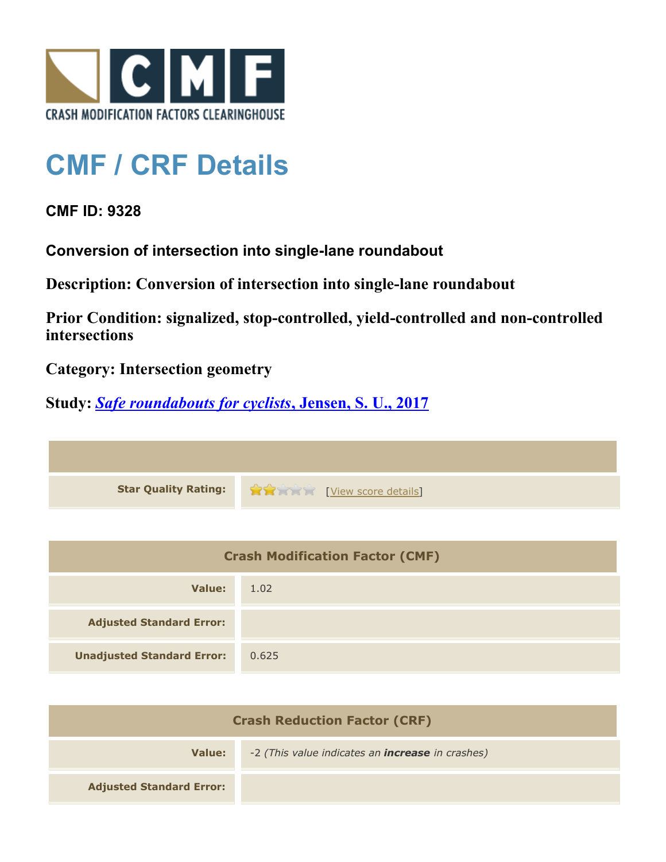

## **CMF / CRF Details**

**CMF ID: 9328**

**Conversion of intersection into single-lane roundabout**

**Description: Conversion of intersection into single-lane roundabout**

**Prior Condition: signalized, stop-controlled, yield-controlled and non-controlled intersections**

**Category: Intersection geometry**

**Study:** *[Safe roundabouts for cyclists](http://www.cmfclearinghouse.org/study_detail.cfm?stid=516)***[, Jensen, S. U., 2017](http://www.cmfclearinghouse.org/study_detail.cfm?stid=516)**

**Star Quality Rating:**  $\mathbf{\hat{x}}$  **and**  $\mathbf{\hat{y}}$  [[View score details](http://www.cmfclearinghouse.org/score_details.cfm?facid=9328)]

| <b>Crash Modification Factor (CMF)</b> |       |
|----------------------------------------|-------|
| Value:                                 | 1.02  |
| <b>Adjusted Standard Error:</b>        |       |
| <b>Unadjusted Standard Error:</b>      | 0.625 |

| <b>Crash Reduction Factor (CRF)</b> |                                                         |
|-------------------------------------|---------------------------------------------------------|
| Value:                              | -2 (This value indicates an <b>increase</b> in crashes) |
| <b>Adjusted Standard Error:</b>     |                                                         |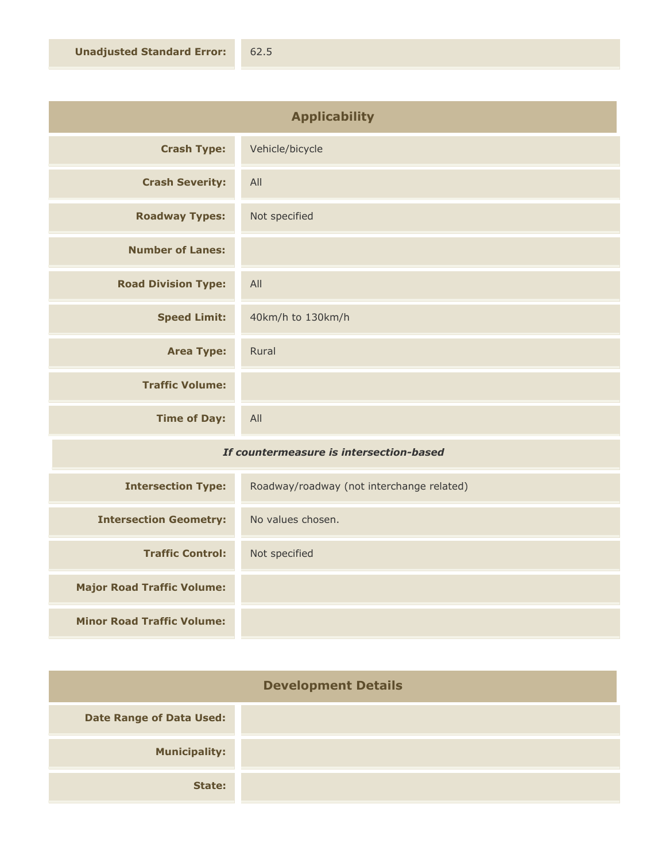| <b>Applicability</b>       |                   |
|----------------------------|-------------------|
| <b>Crash Type:</b>         | Vehicle/bicycle   |
| <b>Crash Severity:</b>     | All               |
| <b>Roadway Types:</b>      | Not specified     |
| <b>Number of Lanes:</b>    |                   |
| <b>Road Division Type:</b> | All               |
| <b>Speed Limit:</b>        | 40km/h to 130km/h |
| <b>Area Type:</b>          | Rural             |
| <b>Traffic Volume:</b>     |                   |
| <b>Time of Day:</b>        | All               |

## *If countermeasure is intersection-based*

| <b>Intersection Type:</b>         | Roadway/roadway (not interchange related) |
|-----------------------------------|-------------------------------------------|
| <b>Intersection Geometry:</b>     | No values chosen.                         |
| <b>Traffic Control:</b>           | Not specified                             |
| <b>Major Road Traffic Volume:</b> |                                           |
| <b>Minor Road Traffic Volume:</b> |                                           |

| <b>Development Details</b>      |  |
|---------------------------------|--|
| <b>Date Range of Data Used:</b> |  |
| <b>Municipality:</b>            |  |
| State:                          |  |